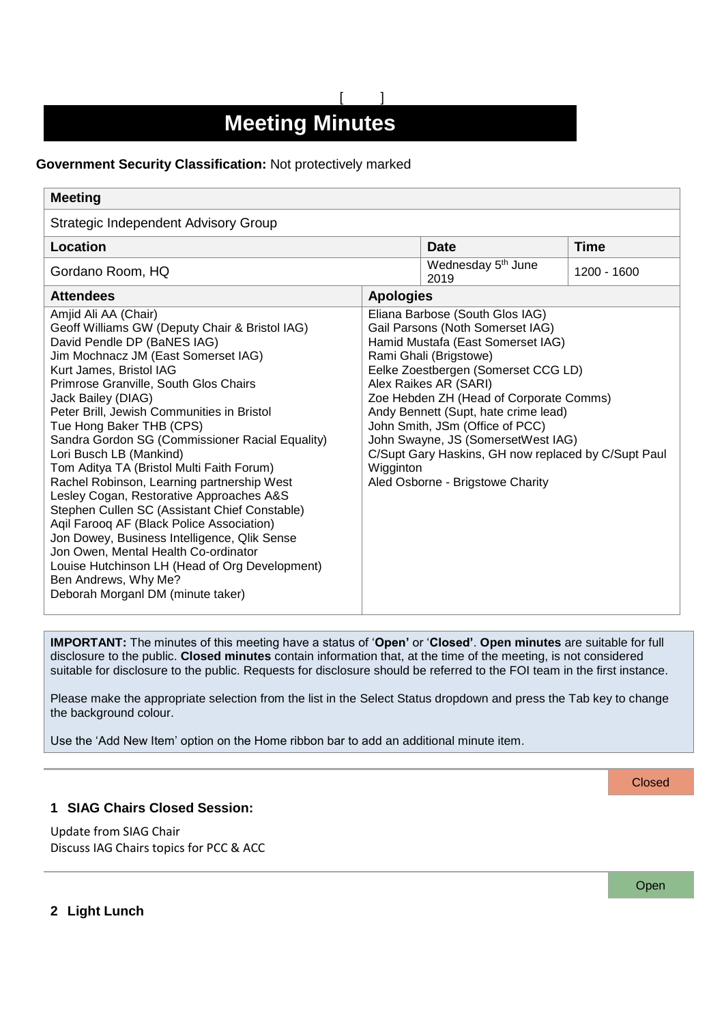# **Meeting Minutes**

[ ]

## **Government Security Classification:** Not protectively marked

| <b>Meeting</b>                                                                                                                                                                                                                                                                                                                                                                                                                                                                                                                                                                                                                                                                                                                                                                                                                             |                                                                                                                                                                                                                                                                                                                                                                                                                                                                        |                                        |               |
|--------------------------------------------------------------------------------------------------------------------------------------------------------------------------------------------------------------------------------------------------------------------------------------------------------------------------------------------------------------------------------------------------------------------------------------------------------------------------------------------------------------------------------------------------------------------------------------------------------------------------------------------------------------------------------------------------------------------------------------------------------------------------------------------------------------------------------------------|------------------------------------------------------------------------------------------------------------------------------------------------------------------------------------------------------------------------------------------------------------------------------------------------------------------------------------------------------------------------------------------------------------------------------------------------------------------------|----------------------------------------|---------------|
| Strategic Independent Advisory Group                                                                                                                                                                                                                                                                                                                                                                                                                                                                                                                                                                                                                                                                                                                                                                                                       |                                                                                                                                                                                                                                                                                                                                                                                                                                                                        |                                        |               |
| Location                                                                                                                                                                                                                                                                                                                                                                                                                                                                                                                                                                                                                                                                                                                                                                                                                                   |                                                                                                                                                                                                                                                                                                                                                                                                                                                                        | <b>Date</b>                            | <b>Time</b>   |
| Gordano Room, HQ                                                                                                                                                                                                                                                                                                                                                                                                                                                                                                                                                                                                                                                                                                                                                                                                                           |                                                                                                                                                                                                                                                                                                                                                                                                                                                                        | Wednesday 5 <sup>th</sup> June<br>2019 | $1200 - 1600$ |
| <b>Attendees</b>                                                                                                                                                                                                                                                                                                                                                                                                                                                                                                                                                                                                                                                                                                                                                                                                                           | <b>Apologies</b>                                                                                                                                                                                                                                                                                                                                                                                                                                                       |                                        |               |
| Amjid Ali AA (Chair)<br>Geoff Williams GW (Deputy Chair & Bristol IAG)<br>David Pendle DP (BaNES IAG)<br>Jim Mochnacz JM (East Somerset IAG)<br>Kurt James, Bristol IAG<br>Primrose Granville, South Glos Chairs<br>Jack Bailey (DIAG)<br>Peter Brill, Jewish Communities in Bristol<br>Tue Hong Baker THB (CPS)<br>Sandra Gordon SG (Commissioner Racial Equality)<br>Lori Busch LB (Mankind)<br>Tom Aditya TA (Bristol Multi Faith Forum)<br>Rachel Robinson, Learning partnership West<br>Lesley Cogan, Restorative Approaches A&S<br>Stephen Cullen SC (Assistant Chief Constable)<br>Agil Faroog AF (Black Police Association)<br>Jon Dowey, Business Intelligence, Qlik Sense<br>Jon Owen, Mental Health Co-ordinator<br>Louise Hutchinson LH (Head of Org Development)<br>Ben Andrews, Why Me?<br>Deborah Morganl DM (minute taker) | Eliana Barbose (South Glos IAG)<br>Gail Parsons (Noth Somerset IAG)<br>Hamid Mustafa (East Somerset IAG)<br>Rami Ghali (Brigstowe)<br>Eelke Zoestbergen (Somerset CCG LD)<br>Alex Raikes AR (SARI)<br>Zoe Hebden ZH (Head of Corporate Comms)<br>Andy Bennett (Supt, hate crime lead)<br>John Smith, JSm (Office of PCC)<br>John Swayne, JS (SomersetWest IAG)<br>C/Supt Gary Haskins, GH now replaced by C/Supt Paul<br>Wigginton<br>Aled Osborne - Brigstowe Charity |                                        |               |

**IMPORTANT:** The minutes of this meeting have a status of '**Open'** or '**Closed'**. **Open minutes** are suitable for full disclosure to the public. **Closed minutes** contain information that, at the time of the meeting, is not considered suitable for disclosure to the public. Requests for disclosure should be referred to the FOI team in the first instance.

Please make the appropriate selection from the list in the Select Status dropdown and press the Tab key to change the background colour.

Use the 'Add New Item' option on the Home ribbon bar to add an additional minute item.

#### **Closed**

## **1 SIAG Chairs Closed Session:**

Update from SIAG Chair Discuss IAG Chairs topics for PCC & ACC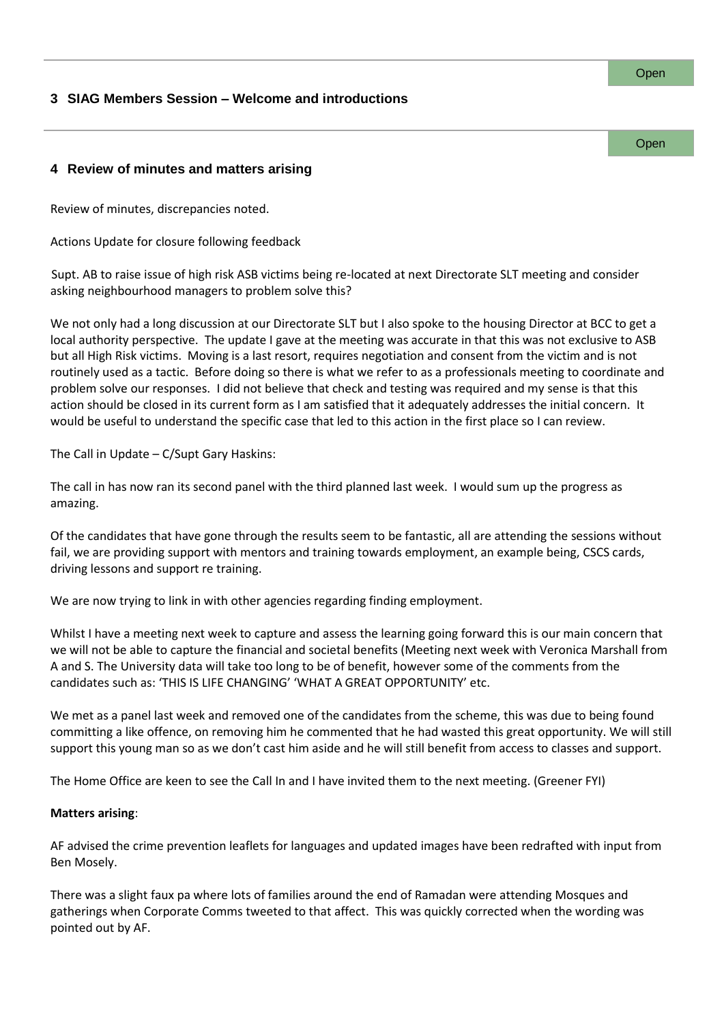#### Open

# **3 SIAG Members Session – Welcome and introductions**

**Open** 

## **4 Review of minutes and matters arising**

Review of minutes, discrepancies noted.

Actions Update for closure following feedback

Supt. AB to raise issue of high risk ASB victims being re-located at next Directorate SLT meeting and consider asking neighbourhood managers to problem solve this?

We not only had a long discussion at our Directorate SLT but I also spoke to the housing Director at BCC to get a local authority perspective. The update I gave at the meeting was accurate in that this was not exclusive to ASB but all High Risk victims. Moving is a last resort, requires negotiation and consent from the victim and is not routinely used as a tactic. Before doing so there is what we refer to as a professionals meeting to coordinate and problem solve our responses. I did not believe that check and testing was required and my sense is that this action should be closed in its current form as I am satisfied that it adequately addresses the initial concern. It would be useful to understand the specific case that led to this action in the first place so I can review.

The Call in Update – C/Supt Gary Haskins:

The call in has now ran its second panel with the third planned last week. I would sum up the progress as amazing.

Of the candidates that have gone through the results seem to be fantastic, all are attending the sessions without fail, we are providing support with mentors and training towards employment, an example being, CSCS cards, driving lessons and support re training.

We are now trying to link in with other agencies regarding finding employment.

Whilst I have a meeting next week to capture and assess the learning going forward this is our main concern that we will not be able to capture the financial and societal benefits (Meeting next week with Veronica Marshall from A and S. The University data will take too long to be of benefit, however some of the comments from the candidates such as: 'THIS IS LIFE CHANGING' 'WHAT A GREAT OPPORTUNITY' etc.

We met as a panel last week and removed one of the candidates from the scheme, this was due to being found committing a like offence, on removing him he commented that he had wasted this great opportunity. We will still support this young man so as we don't cast him aside and he will still benefit from access to classes and support.

The Home Office are keen to see the Call In and I have invited them to the next meeting. (Greener FYI)

## **Matters arising**:

AF advised the crime prevention leaflets for languages and updated images have been redrafted with input from Ben Mosely.

There was a slight faux pa where lots of families around the end of Ramadan were attending Mosques and gatherings when Corporate Comms tweeted to that affect. This was quickly corrected when the wording was pointed out by AF.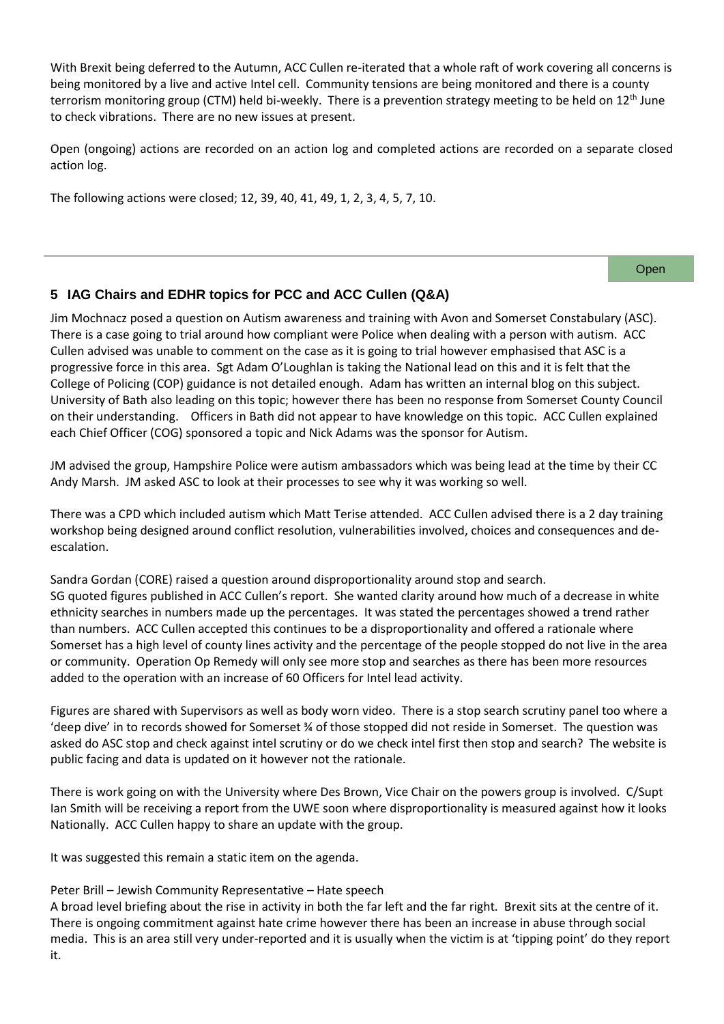With Brexit being deferred to the Autumn, ACC Cullen re-iterated that a whole raft of work covering all concerns is being monitored by a live and active Intel cell. Community tensions are being monitored and there is a county terrorism monitoring group (CTM) held bi-weekly. There is a prevention strategy meeting to be held on 12<sup>th</sup> June to check vibrations. There are no new issues at present.

Open (ongoing) actions are recorded on an action log and completed actions are recorded on a separate closed action log.

The following actions were closed; 12, 39, 40, 41, 49, 1, 2, 3, 4, 5, 7, 10.

#### Open

# **5 IAG Chairs and EDHR topics for PCC and ACC Cullen (Q&A)**

Jim Mochnacz posed a question on Autism awareness and training with Avon and Somerset Constabulary (ASC). There is a case going to trial around how compliant were Police when dealing with a person with autism. ACC Cullen advised was unable to comment on the case as it is going to trial however emphasised that ASC is a progressive force in this area. Sgt Adam O'Loughlan is taking the National lead on this and it is felt that the College of Policing (COP) guidance is not detailed enough. Adam has written an internal blog on this subject. University of Bath also leading on this topic; however there has been no response from Somerset County Council on their understanding. Officers in Bath did not appear to have knowledge on this topic. ACC Cullen explained each Chief Officer (COG) sponsored a topic and Nick Adams was the sponsor for Autism.

JM advised the group, Hampshire Police were autism ambassadors which was being lead at the time by their CC Andy Marsh. JM asked ASC to look at their processes to see why it was working so well.

There was a CPD which included autism which Matt Terise attended. ACC Cullen advised there is a 2 day training workshop being designed around conflict resolution, vulnerabilities involved, choices and consequences and deescalation.

Sandra Gordan (CORE) raised a question around disproportionality around stop and search. SG quoted figures published in ACC Cullen's report. She wanted clarity around how much of a decrease in white ethnicity searches in numbers made up the percentages. It was stated the percentages showed a trend rather than numbers. ACC Cullen accepted this continues to be a disproportionality and offered a rationale where Somerset has a high level of county lines activity and the percentage of the people stopped do not live in the area or community. Operation Op Remedy will only see more stop and searches as there has been more resources added to the operation with an increase of 60 Officers for Intel lead activity.

Figures are shared with Supervisors as well as body worn video. There is a stop search scrutiny panel too where a 'deep dive' in to records showed for Somerset ¾ of those stopped did not reside in Somerset. The question was asked do ASC stop and check against intel scrutiny or do we check intel first then stop and search? The website is public facing and data is updated on it however not the rationale.

There is work going on with the University where Des Brown, Vice Chair on the powers group is involved. C/Supt Ian Smith will be receiving a report from the UWE soon where disproportionality is measured against how it looks Nationally. ACC Cullen happy to share an update with the group.

It was suggested this remain a static item on the agenda.

## Peter Brill – Jewish Community Representative – Hate speech

A broad level briefing about the rise in activity in both the far left and the far right. Brexit sits at the centre of it. There is ongoing commitment against hate crime however there has been an increase in abuse through social media. This is an area still very under-reported and it is usually when the victim is at 'tipping point' do they report it.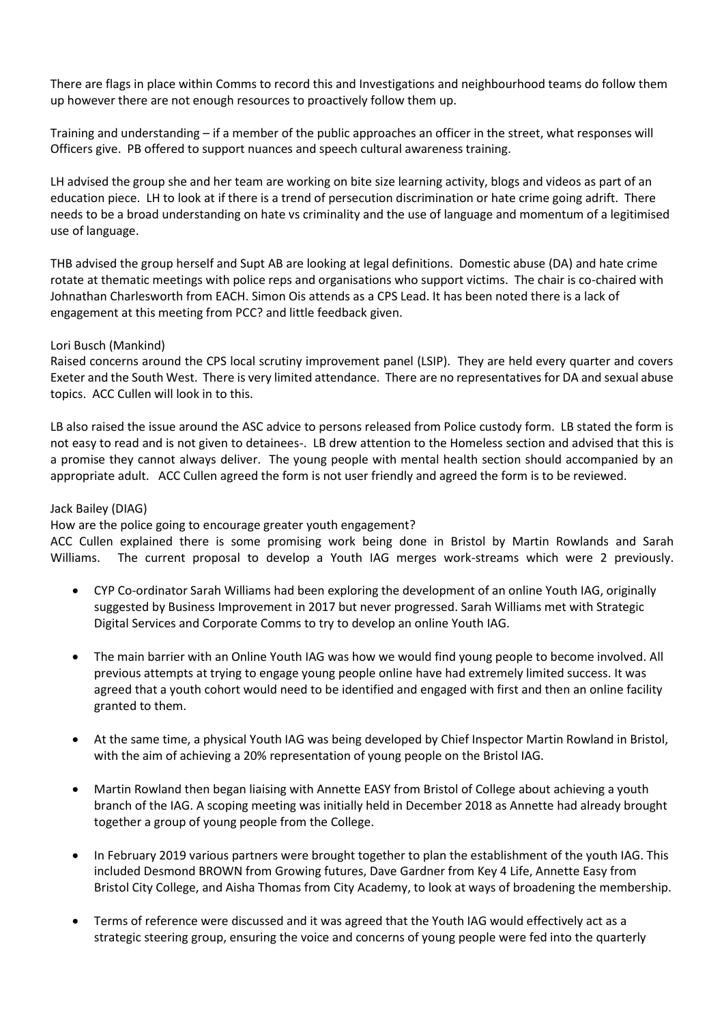There are flags in place within Comms to record this and Investigations and neighbourhood teams do follow them up however there are not enough resources to proactively follow them up.

Training and understanding – if a member of the public approaches an officer in the street, what responses will Officers give. PB offered to support nuances and speech cultural awareness training.

LH advised the group she and her team are working on bite size learning activity, blogs and videos as part of an education piece. LH to look at if there is a trend of persecution discrimination or hate crime going adrift. There needs to be a broad understanding on hate vs criminality and the use of language and momentum of a legitimised use of language.

THB advised the group herself and Supt AB are looking at legal definitions. Domestic abuse (DA) and hate crime rotate at thematic meetings with police reps and organisations who support victims. The chair is co-chaired with Johnathan Charlesworth from EACH. Simon Ois attends as a CPS Lead. It has been noted there is a lack of engagement at this meeting from PCC? and little feedback given.

## Lori Busch (Mankind)

Raised concerns around the CPS local scrutiny improvement panel (LSIP). They are held every quarter and covers Exeter and the South West. There is very limited attendance. There are no representatives for DA and sexual abuse topics. ACC Cullen will look in to this.

LB also raised the issue around the ASC advice to persons released from Police custody form. LB stated the form is not easy to read and is not given to detainees-. LB drew attention to the Homeless section and advised that this is a promise they cannot always deliver. The young people with mental health section should accompanied by an appropriate adult. ACC Cullen agreed the form is not user friendly and agreed the form is to be reviewed.

## Jack Bailey (DIAG)

How are the police going to encourage greater youth engagement?

ACC Cullen explained there is some promising work being done in Bristol by Martin Rowlands and Sarah Williams. The current proposal to develop a Youth IAG merges work-streams which were 2 previously.

- CYP Co-ordinator Sarah Williams had been exploring the development of an online Youth IAG, originally suggested by Business Improvement in 2017 but never progressed. Sarah Williams met with Strategic Digital Services and Corporate Comms to try to develop an online Youth IAG.
- The main barrier with an Online Youth IAG was how we would find young people to become involved. All previous attempts at trying to engage young people online have had extremely limited success. It was agreed that a youth cohort would need to be identified and engaged with first and then an online facility granted to them.
- At the same time, a physical Youth IAG was being developed by Chief Inspector Martin Rowland in Bristol, with the aim of achieving a 20% representation of young people on the Bristol IAG.
- Martin Rowland then began liaising with Annette EASY from Bristol of College about achieving a youth branch of the IAG. A scoping meeting was initially held in December 2018 as Annette had already brought together a group of young people from the College.
- In February 2019 various partners were brought together to plan the establishment of the youth IAG. This included Desmond BROWN from Growing futures, Dave Gardner from Key 4 Life, Annette Easy from Bristol City College, and Aisha Thomas from City Academy, to look at ways of broadening the membership.
- Terms of reference were discussed and it was agreed that the Youth IAG would effectively act as a strategic steering group, ensuring the voice and concerns of young people were fed into the quarterly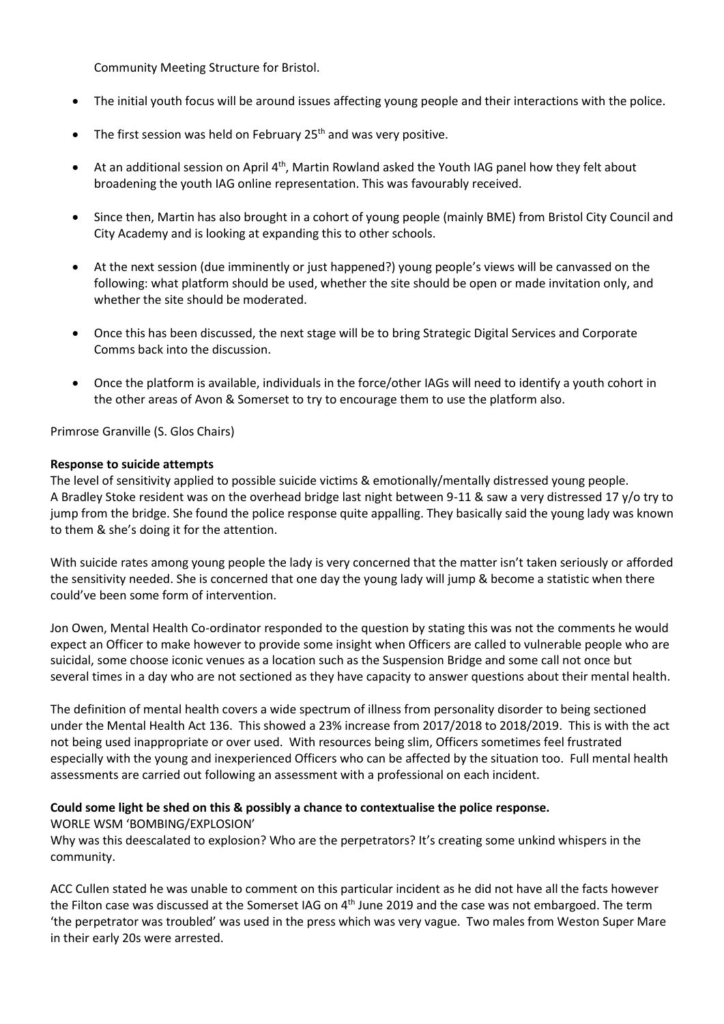Community Meeting Structure for Bristol.

- The initial youth focus will be around issues affecting young people and their interactions with the police.
- The first session was held on February 25<sup>th</sup> and was very positive.
- At an additional session on April 4<sup>th</sup>, Martin Rowland asked the Youth IAG panel how they felt about broadening the youth IAG online representation. This was favourably received.
- Since then, Martin has also brought in a cohort of young people (mainly BME) from Bristol City Council and City Academy and is looking at expanding this to other schools.
- At the next session (due imminently or just happened?) young people's views will be canvassed on the following: what platform should be used, whether the site should be open or made invitation only, and whether the site should be moderated.
- Once this has been discussed, the next stage will be to bring Strategic Digital Services and Corporate Comms back into the discussion.
- Once the platform is available, individuals in the force/other IAGs will need to identify a youth cohort in the other areas of Avon & Somerset to try to encourage them to use the platform also.

Primrose Granville (S. Glos Chairs)

## **Response to suicide attempts**

The level of sensitivity applied to possible suicide victims & emotionally/mentally distressed young people. A Bradley Stoke resident was on the overhead bridge last night between 9-11 & saw a very distressed 17 y/o try to jump from the bridge. She found the police response quite appalling. They basically said the young lady was known to them & she's doing it for the attention.

With suicide rates among young people the lady is very concerned that the matter isn't taken seriously or afforded the sensitivity needed. She is concerned that one day the young lady will jump & become a statistic when there could've been some form of intervention.

Jon Owen, Mental Health Co-ordinator responded to the question by stating this was not the comments he would expect an Officer to make however to provide some insight when Officers are called to vulnerable people who are suicidal, some choose iconic venues as a location such as the Suspension Bridge and some call not once but several times in a day who are not sectioned as they have capacity to answer questions about their mental health.

The definition of mental health covers a wide spectrum of illness from personality disorder to being sectioned under the Mental Health Act 136. This showed a 23% increase from 2017/2018 to 2018/2019. This is with the act not being used inappropriate or over used. With resources being slim, Officers sometimes feel frustrated especially with the young and inexperienced Officers who can be affected by the situation too. Full mental health assessments are carried out following an assessment with a professional on each incident.

# **Could some light be shed on this & possibly a chance to contextualise the police response.**

WORLE WSM 'BOMBING/EXPLOSION'

Why was this deescalated to explosion? Who are the perpetrators? It's creating some unkind whispers in the community.

ACC Cullen stated he was unable to comment on this particular incident as he did not have all the facts however the Filton case was discussed at the Somerset IAG on 4<sup>th</sup> June 2019 and the case was not embargoed. The term 'the perpetrator was troubled' was used in the press which was very vague. Two males from Weston Super Mare in their early 20s were arrested.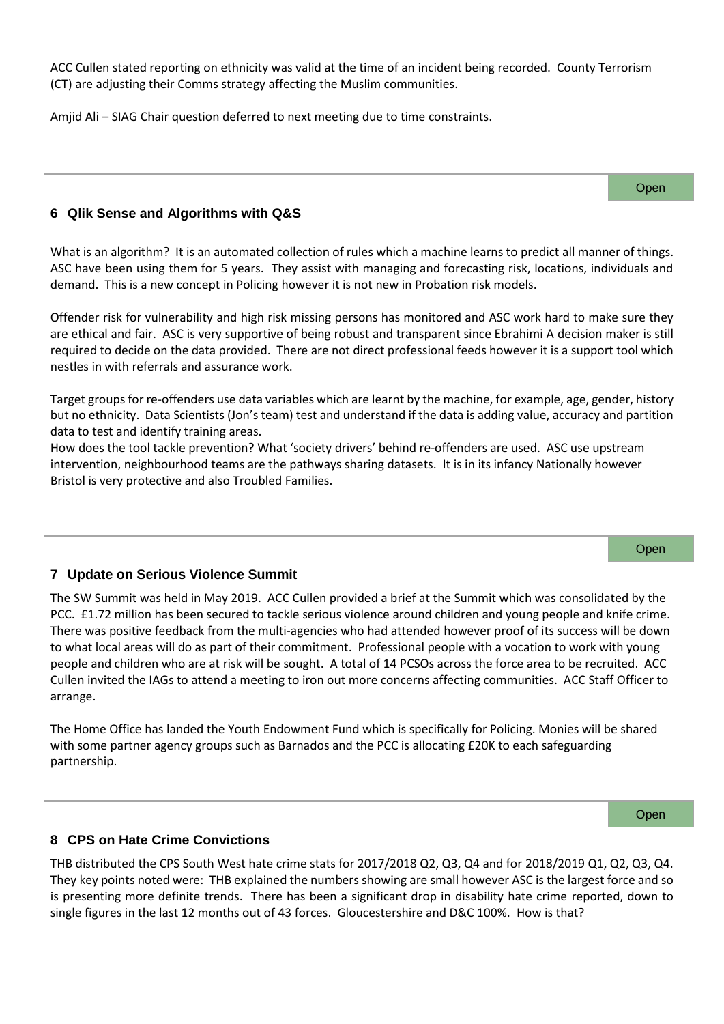ACC Cullen stated reporting on ethnicity was valid at the time of an incident being recorded. County Terrorism (CT) are adjusting their Comms strategy affecting the Muslim communities.

Amjid Ali – SIAG Chair question deferred to next meeting due to time constraints.

Open

## **6 Qlik Sense and Algorithms with Q&S**

What is an algorithm? It is an automated collection of rules which a machine learns to predict all manner of things. ASC have been using them for 5 years. They assist with managing and forecasting risk, locations, individuals and demand. This is a new concept in Policing however it is not new in Probation risk models.

Offender risk for vulnerability and high risk missing persons has monitored and ASC work hard to make sure they are ethical and fair. ASC is very supportive of being robust and transparent since Ebrahimi A decision maker is still required to decide on the data provided. There are not direct professional feeds however it is a support tool which nestles in with referrals and assurance work.

Target groups for re-offenders use data variables which are learnt by the machine, for example, age, gender, history but no ethnicity. Data Scientists (Jon's team) test and understand if the data is adding value, accuracy and partition data to test and identify training areas.

How does the tool tackle prevention? What 'society drivers' behind re-offenders are used. ASC use upstream intervention, neighbourhood teams are the pathways sharing datasets. It is in its infancy Nationally however Bristol is very protective and also Troubled Families.

## **7 Update on Serious Violence Summit**

The SW Summit was held in May 2019. ACC Cullen provided a brief at the Summit which was consolidated by the PCC. £1.72 million has been secured to tackle serious violence around children and young people and knife crime. There was positive feedback from the multi-agencies who had attended however proof of its success will be down to what local areas will do as part of their commitment. Professional people with a vocation to work with young people and children who are at risk will be sought. A total of 14 PCSOs across the force area to be recruited. ACC Cullen invited the IAGs to attend a meeting to iron out more concerns affecting communities. ACC Staff Officer to arrange.

The Home Office has landed the Youth Endowment Fund which is specifically for Policing. Monies will be shared with some partner agency groups such as Barnados and the PCC is allocating £20K to each safeguarding partnership.

Open

Open

## **8 CPS on Hate Crime Convictions**

THB distributed the CPS South West hate crime stats for 2017/2018 Q2, Q3, Q4 and for 2018/2019 Q1, Q2, Q3, Q4. They key points noted were: THB explained the numbers showing are small however ASC is the largest force and so is presenting more definite trends. There has been a significant drop in disability hate crime reported, down to single figures in the last 12 months out of 43 forces. Gloucestershire and D&C 100%. How is that?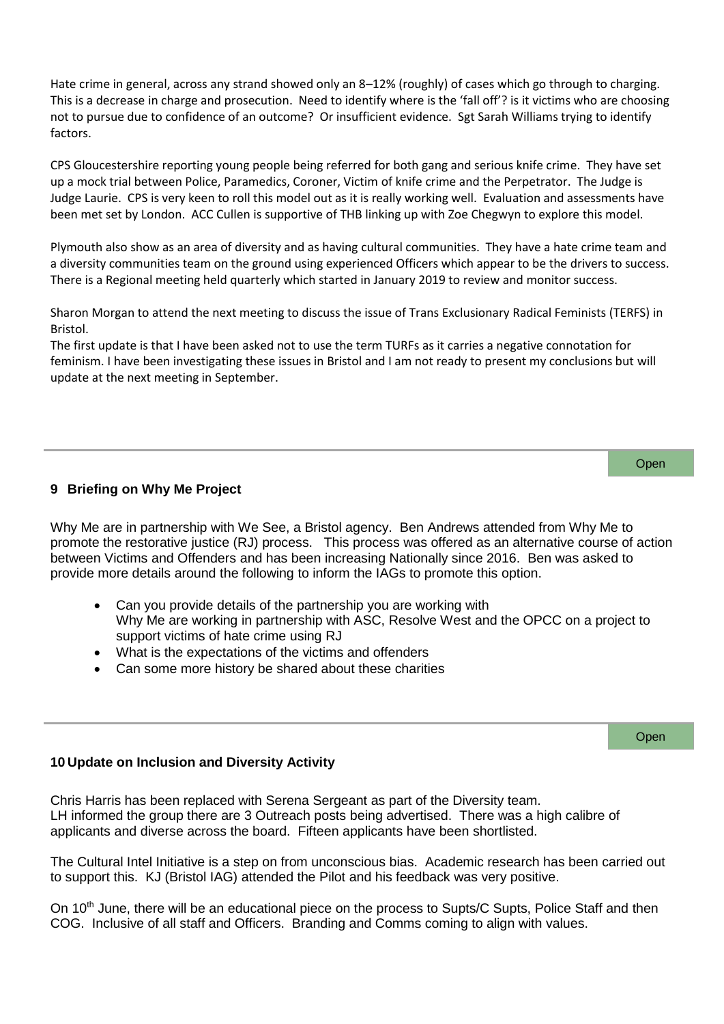Hate crime in general, across any strand showed only an 8–12% (roughly) of cases which go through to charging. This is a decrease in charge and prosecution. Need to identify where is the 'fall off'? is it victims who are choosing not to pursue due to confidence of an outcome? Or insufficient evidence. Sgt Sarah Williams trying to identify factors.

CPS Gloucestershire reporting young people being referred for both gang and serious knife crime. They have set up a mock trial between Police, Paramedics, Coroner, Victim of knife crime and the Perpetrator. The Judge is Judge Laurie. CPS is very keen to roll this model out as it is really working well. Evaluation and assessments have been met set by London. ACC Cullen is supportive of THB linking up with Zoe Chegwyn to explore this model.

Plymouth also show as an area of diversity and as having cultural communities. They have a hate crime team and a diversity communities team on the ground using experienced Officers which appear to be the drivers to success. There is a Regional meeting held quarterly which started in January 2019 to review and monitor success.

Sharon Morgan to attend the next meeting to discuss the issue of Trans Exclusionary Radical Feminists (TERFS) in Bristol.

The first update is that I have been asked not to use the term TURFs as it carries a negative connotation for feminism. I have been investigating these issues in Bristol and I am not ready to present my conclusions but will update at the next meeting in September.

# **9 Briefing on Why Me Project**

Why Me are in partnership with We See, a Bristol agency. Ben Andrews attended from Why Me to promote the restorative justice (RJ) process. This process was offered as an alternative course of action between Victims and Offenders and has been increasing Nationally since 2016. Ben was asked to provide more details around the following to inform the IAGs to promote this option.

- Can you provide details of the partnership you are working with Why Me are working in partnership with ASC, Resolve West and the OPCC on a project to support victims of hate crime using RJ
- What is the expectations of the victims and offenders
- Can some more history be shared about these charities

## **10 Update on Inclusion and Diversity Activity**

Chris Harris has been replaced with Serena Sergeant as part of the Diversity team. LH informed the group there are 3 Outreach posts being advertised. There was a high calibre of applicants and diverse across the board. Fifteen applicants have been shortlisted.

The Cultural Intel Initiative is a step on from unconscious bias. Academic research has been carried out to support this. KJ (Bristol IAG) attended the Pilot and his feedback was very positive.

On 10<sup>th</sup> June, there will be an educational piece on the process to Supts/C Supts, Police Staff and then COG. Inclusive of all staff and Officers. Branding and Comms coming to align with values.

Open